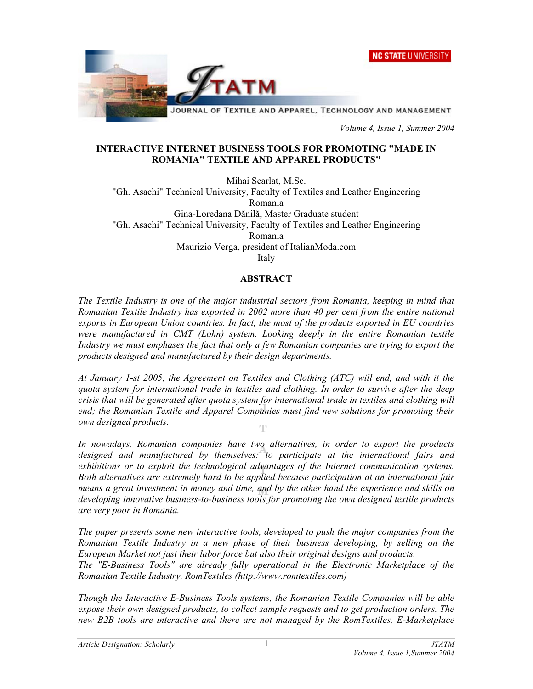



 *Volume 4, Issue 1, Summer 2004* 

#### **INTERACTIVE INTERNET BUSINESS TOOLS FOR PROMOTING "MADE IN ROMANIA" TEXTILE AND APPAREL PRODUCTS"**

Mihai Scarlat, M.Sc. "Gh. Asachi" Technical University, Faculty of Textiles and Leather Engineering Romania Gina-Loredana Dănilă, Master Graduate student "Gh. Asachi" Technical University, Faculty of Textiles and Leather Engineering Romania Maurizio Verga, president of ItalianModa.com

Italy

#### **ABSTRACT**

*The Textile Industry is one of the major industrial sectors from Romania, keeping in mind that Romanian Textile Industry has exported in 2002 more than 40 per cent from the entire national exports in European Union countries. In fact, the most of the products exported in EU countries were manufactured in CMT (Lohn) system. Looking deeply in the entire Romanian textile Industry we must emphases the fact that only a few Romanian companies are trying to export the products designed and manufactured by their design departments.* 

*At January 1-st 2005, the Agreement on Textiles and Clothing (ATC) will end, and with it the quota system for international trade in textiles and clothing. In order to survive after the deep crisis that will be generated after quota system for international trade in textiles and clothing will end; the Romanian Textile and Apparel Companies must find new solutions for promoting their own designed products.* 

*In nowadays, Romanian companies have two alternatives, in order to export the products designed and manufactured by themselves: to participate at the international fairs and exhibitions or to exploit the technological advantages of the Internet communication systems. Both alternatives are extremely hard to be applied because participation at an international fair means a great investment in money and time, and by the other hand the experience and skills on developing innovative business-to-business tools for promoting the own designed textile products are very poor in Romania.* 

*The paper presents some new interactive tools, developed to push the major companies from the Romanian Textile Industry in a new phase of their business developing, by selling on the European Market not just their labor force but also their original designs and products.* 

*The "E-Business Tools" are already fully operational in the Electronic Marketplace of the Romanian Textile Industry, RomTextiles ([http://www.romtextiles.com\)](http://www.romtextiles.com)* 

*Though the Interactive E-Business Tools systems, the Romanian Textile Companies will be able expose their own designed products, to collect sample requests and to get production orders. The new B2B tools are interactive and there are not managed by the RomTextiles, E-Marketplace*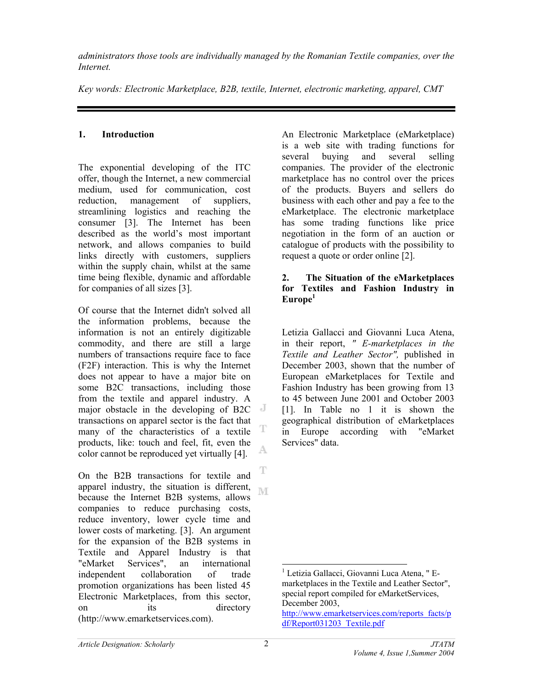*administrators those tools are individually managed by the Romanian Textile companies, over the Internet.*

*Key words: Electronic Marketplace, B2B, textile, Internet, electronic marketing, apparel, CMT*

# **1. Introduction**

The exponential developing of the ITC offer, though the Internet, a new commercial medium, used for communication, cost reduction, management of suppliers, streamlining logistics and reaching the consumer [3]. The Internet has been described as the world's most important network, and allows companies to build links directly with customers, suppliers within the supply chain, whilst at the same time being flexible, dynamic and affordable for companies of all sizes [3].

Of course that the Internet didn't solved all the information problems, because the information is not an entirely digitizable commodity, and there are still a large numbers of transactions require face to face (F2F) interaction. This is why the Internet does not appear to have a major bite on some B2C transactions, including those from the textile and apparel industry. A major obstacle in the developing of B2C transactions on apparel sector is the fact that T many of the characteristics of a textile products, like: touch and feel, fit, even the A. color cannot be reproduced yet virtually [4].

T On the B2B transactions for textile and apparel industry, the situation is different, because the Internet B2B systems, allows companies to reduce purchasing costs, reduce inventory, lower cycle time and lower costs of marketing. [3]. An argument for the expansion of the B2B systems in Textile and Apparel Industry is that "eMarket Services", an international independent collaboration of trade promotion organizations has been listed 45 Electronic Marketplaces, from this sector, on its directory (<http://www.emarketservices.com>).

An Electronic Marketplace (eMarketplace) is a web site with trading functions for several buying and several selling companies. The provider of the electronic marketplace has no control over the prices of the products. Buyers and sellers do business with each other and pay a fee to the eMarketplace. The electronic marketplace has some trading functions like price negotiation in the form of an auction or catalogue of products with the possibility to request a quote or order online [2].

### **2. The Situation of the eMarketplaces for Textiles and Fashion Industry in Europe<sup>1</sup>**

Letizia Gallacci and Giovanni Luca Atena, in their report, *" E-marketplaces in the Textile and Leather Sector",* published in December 2003, shown that the number of European eMarketplaces for Textile and Fashion Industry has been growing from 13 to 45 between June 2001 and October 2003 [1]. In Table no 1 it is shown the geographical distribution of eMarketplaces in Europe according with "eMarket Services" data.

 $\overline{a}$ 1 Letizia Gallacci, Giovanni Luca Atena, " Emarketplaces in the Textile and Leather Sector", special report compiled for eMarketServices, December 2003,

[http://www.emarketservices.com/reports\\_facts/p](http://www.emarketservices.com/reports_facts/p) df/Report031203\_Textile.pdf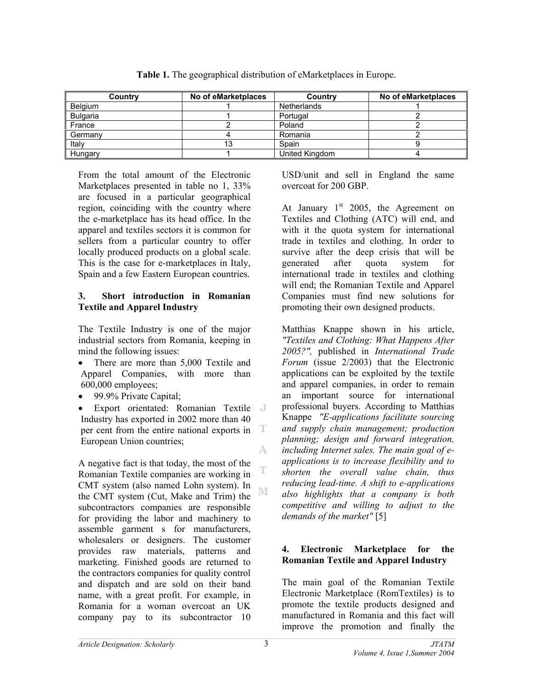| Country         | No of eMarketplaces | Country        | No of eMarketplaces |
|-----------------|---------------------|----------------|---------------------|
| Belgium         |                     | Netherlands    |                     |
| <b>Bulgaria</b> |                     | Portugal       |                     |
| France          |                     | Poland         |                     |
| Germany         |                     | Romania        |                     |
| Italy           | 13                  | Spain          |                     |
| Hungary         |                     | United Kingdom |                     |

**Table 1.** The geographical distribution of eMarketplaces in Europe.

From the total amount of the Electronic Marketplaces presented in table no 1, 33% are focused in a particular geographical region, coinciding with the country where the e-marketplace has its head office. In the apparel and textiles sectors it is common for sellers from a particular country to offer locally produced products on a global scale. This is the case for e-marketplaces in Italy, Spain and a few Eastern European countries.

### **3. Short introduction in Romanian Textile and Apparel Industry**

The Textile Industry is one of the major industrial sectors from Romania, keeping in mind the following issues:

- There are more than 5,000 Textile and Apparel Companies, with more than 600,000 employees;
- 99.9% Private Capital;
- Export orientated: Romanian Textile Industry has exported in 2002 more than 40 per cent from the entire national exports in T European Union countries; A.

A negative fact is that today, the most of the Romanian Textile companies are working in CMT system (also named Lohn system). In M the CMT system (Cut, Make and Trim) the subcontractors companies are responsible for providing the labor and machinery to assemble garment s for manufacturers, wholesalers or designers. The customer provides raw materials, patterns and marketing. Finished goods are returned to the contractors companies for quality control and dispatch and are sold on their band name, with a great profit. For example, in Romania for a woman overcoat an UK company pay to its subcontractor 10

USD/unit and sell in England the same overcoat for 200 GBP.

At January  $1<sup>st</sup>$  2005, the Agreement on Textiles and Clothing (ATC) will end, and with it the quota system for international trade in textiles and clothing. In order to survive after the deep crisis that will be generated after quota system for international trade in textiles and clothing will end; the Romanian Textile and Apparel Companies must find new solutions for promoting their own designed products.

Matthias Knappe shown in his article, *"Textiles and Clothing: What Happens After 2005?",* published in *International Trade Forum* (issue 2/2003) that the Electronic applications can be exploited by the textile and apparel companies, in order to remain an important source for international professional buyers. According to Matthias Knappe *"E-applications facilitate sourcing and supply chain management; production planning; design and forward integration, including Internet sales. The main goal of eapplications is to increase flexibility and to shorten the overall value chain, thus reducing lead-time. A shift to e-applications also highlights that a company is both competitive and willing to adjust to the demands of the market"* [5]

## **4. Electronic Marketplace for the Romanian Textile and Apparel Industry**

The main goal of the Romanian Textile Electronic Marketplace (RomTextiles) is to promote the textile products designed and manufactured in Romania and this fact will improve the promotion and finally the

T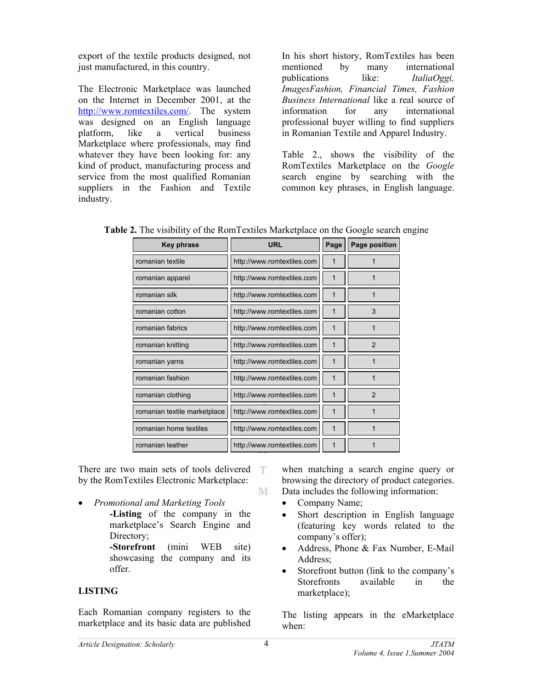export of the textile products designed, not just manufactured, in this country.

The Electronic Marketplace was launched on the Internet in December 2001, at the [http://www.romtextiles.com/.](http://www.romtextiles.com/) The system was designed on an English language platform, like a vertical business Marketplace where professionals, may find whatever they have been looking for: any kind of product, manufacturing process and service from the most qualified Romanian suppliers in the Fashion and Textile industry.

In his short history, RomTextiles has been mentioned by many international publications like: *ItaliaOggi, ImagesFashion, Financial Times, Fashion Business International* like a real source of information for any international professional buyer willing to find suppliers in Romanian Textile and Apparel Industry.

Table 2., shows the visibility of the RomTextiles Marketplace on the *Google* search engine by searching with the common key phrases, in English language.

|  | Table 2. The visibility of the RomTextiles Marketplace on the Google search engine |  |  |
|--|------------------------------------------------------------------------------------|--|--|
|  |                                                                                    |  |  |

| <b>Key phrase</b>            | <b>URL</b>                 | Page        | Page position  |
|------------------------------|----------------------------|-------------|----------------|
| romanian textile             | http://www.romtextiles.com | 1           |                |
| romanian apparel             | http://www.romtextiles.com | 1           | 1              |
| romanian silk                | http://www.romtextiles.com | 1           | 1              |
| romanian cotton              | http://www.romtextiles.com | 1           | 3              |
| romanian fabrics             | http://www.romtextiles.com | 1           |                |
| romanian knitting            | http://www.romtextiles.com | 1           | $\overline{2}$ |
| romanian yarns               | http://www.romtextiles.com | $\mathbf 1$ |                |
| romanian fashion             | http://www.romtextiles.com | 1           |                |
| romanian clothing            | http://www.romtextiles.com | 1           | $\mathcal{P}$  |
| romanian textile marketplace | http://www.romtextiles.com | 1           |                |
| romanian home textiles       | http://www.romtextiles.com | 1           |                |
| romanian leather             | http://www.romtextiles.com | 1           |                |

There are two main sets of tools delivered T by the RomTextiles Electronic Marketplace:

- *Promotional and Marketing Tools* 
	- **-Listing** of the company in the marketplace's Search Engine and Directory;

**-Storefront** (mini WEB site) showcasing the company and its offer.

# **LISTING**

Each Romanian company registers to the marketplace and its basic data are published

when matching a search engine query or browsing the directory of product categories. Data includes the following information:

- Company Name;
- Short description in English language (featuring key words related to the company's offer);
- Address, Phone & Fax Number, E-Mail Address;
- Storefront button (link to the company's Storefronts available in the marketplace);

The listing appears in the eMarketplace when:

M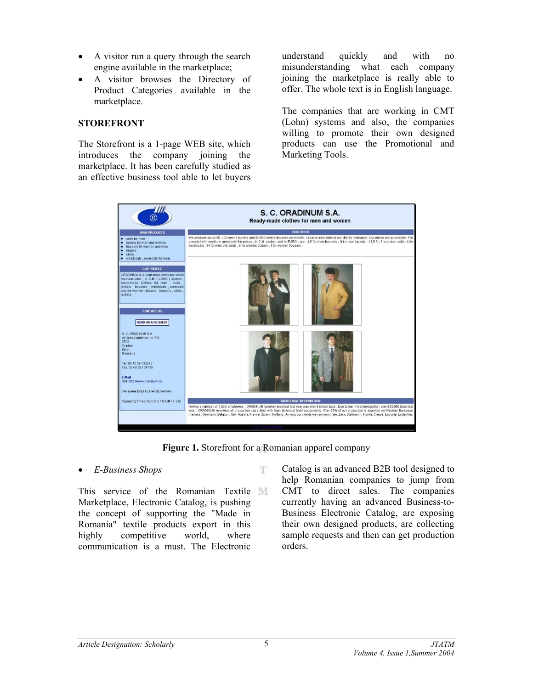- A visitor run a query through the search engine available in the marketplace;
- A visitor browses the Directory of Product Categories available in the marketplace.

### **STOREFRONT**

The Storefront is a 1-page WEB site, which introduces the company joining the marketplace. It has been carefully studied as an effective business tool able to let buyers

understand quickly and with no misunderstanding what each company joining the marketplace is really able to offer. The whole text is in English language.

The companies that are working in CMT (Lohn) systems and also, the companies willing to promote their own designed products can use the Promotional and Marketing Tools.



**Figure 1.** Storefront for a Romanian apparel company

Ŧ

# • *E-Business Shops*

This service of the Romanian Textile MI Marketplace, Electronic Catalog, is pushing the concept of supporting the "Made in Romania" textile products export in this highly competitive world, where communication is a must. The Electronic

Catalog is an advanced B2B tool designed to help Romanian companies to jump from CMT to direct sales. The companies currently having an advanced Business-to-Business Electronic Catalog, are exposing their own designed products, are collecting sample requests and then can get production orders.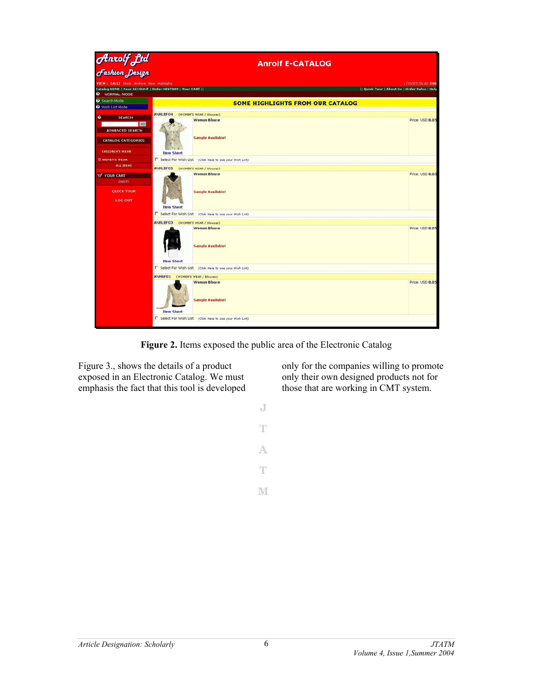

**Figure 2.** Items exposed the public area of the Electronic Catalog

Figure 3., shows the details of a product exposed in an Electronic Catalog. We must emphasis the fact that this tool is developed only for the companies willing to promote only their own designed products not for those that are working in CMT system.

 $_{\rm d}$ T A  $\mathbb T$ 

M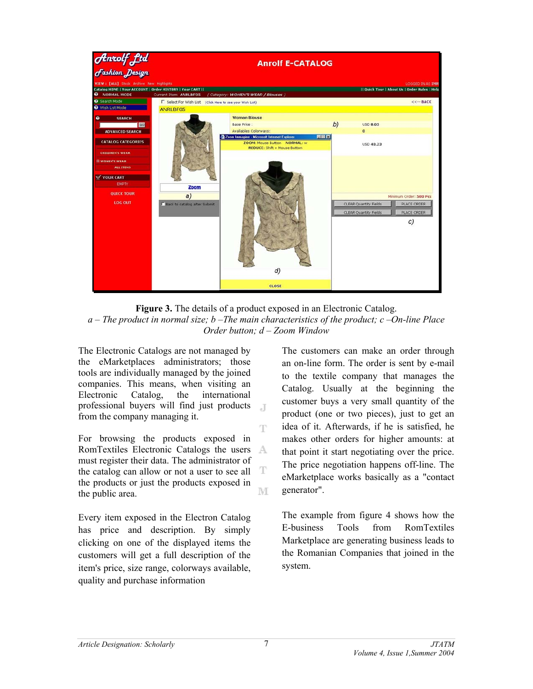

Figure 3. The details of a product exposed in an Electronic Catalog. *a – The product in normal size; b –The main characteristics of the product; c –On-line Place Order button; d – Zoom Window*

 $\overline{A}$ 

T

The Electronic Catalogs are not managed by the eMarketplaces administrators; those tools are individually managed by the joined companies. This means, when visiting an Electronic Catalog, the international professional buyers will find just products from the company managing it.

For browsing the products exposed in RomTextiles Electronic Catalogs the users A must register their data. The administrator of T the catalog can allow or not a user to see all the products or just the products exposed in M the public area.

Every item exposed in the Electron Catalog has price and description. By simply clicking on one of the displayed items the customers will get a full description of the item's price, size range, colorways available, quality and purchase information

The customers can make an order through an on-line form. The order is sent by e-mail to the textile company that manages the Catalog. Usually at the beginning the customer buys a very small quantity of the product (one or two pieces), just to get an idea of it. Afterwards, if he is satisfied, he makes other orders for higher amounts: at that point it start negotiating over the price. The price negotiation happens off-line. The eMarketplace works basically as a "contact generator".

The example from figure 4 shows how the E-business Tools from RomTextiles Marketplace are generating business leads to the Romanian Companies that joined in the system.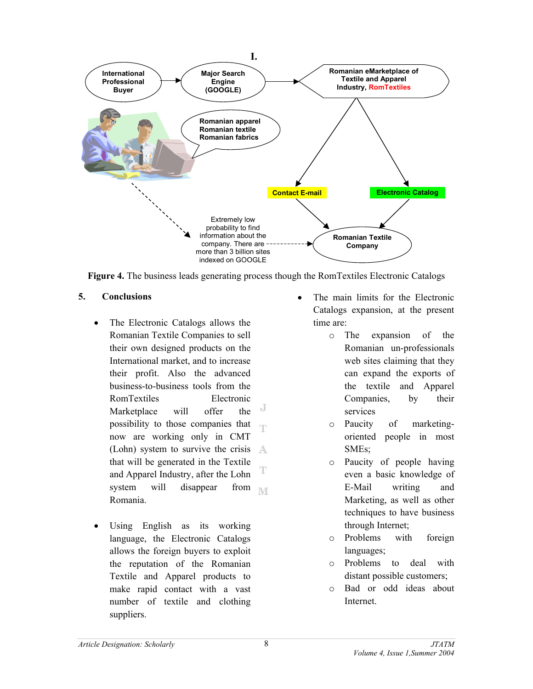

**Figure 4.** The business leads generating process though the RomTextiles Electronic Catalogs

## **5. Conclusions**

- The Electronic Catalogs allows the Romanian Textile Companies to sell their own designed products on the International market, and to increase their profit. Also the advanced business-to-business tools from the RomTextiles Electronic Marketplace will offer the possibility to those companies that now are working only in CMT (Lohn) system to survive the crisis  $\mathbb{A}$ that will be generated in the Textile and Apparel Industry, after the Lohn system will disappear from **NT** Romania.
- Using English as its working language, the Electronic Catalogs allows the foreign buyers to exploit the reputation of the Romanian Textile and Apparel products to make rapid contact with a vast number of textile and clothing suppliers.
- The main limits for the Electronic Catalogs expansion, at the present time are:
	- o The expansion of the Romanian un-professionals web sites claiming that they can expand the exports of the textile and Apparel Companies, by their services
	- o Paucity of marketingoriented people in most SMEs;
	- o Paucity of people having even a basic knowledge of E-Mail writing and Marketing, as well as other techniques to have business through Internet;
	- o Problems with foreign languages;
	- o Problems to deal with distant possible customers;
	- o Bad or odd ideas about Internet.